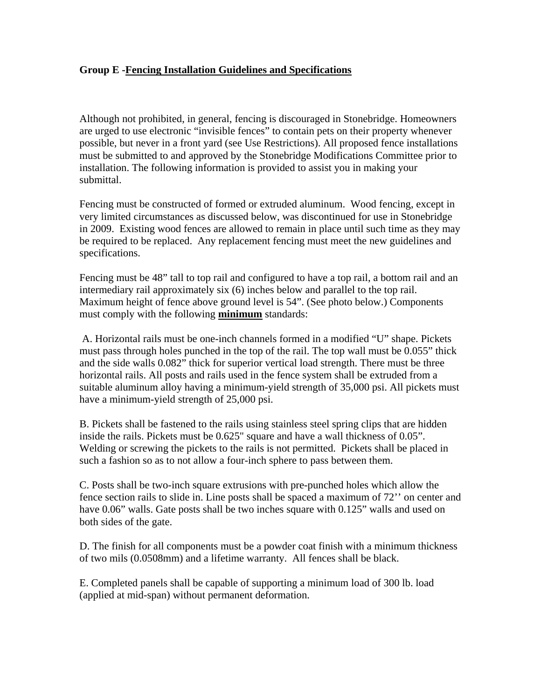## **Group E -Fencing Installation Guidelines and Specifications**

Although not prohibited, in general, fencing is discouraged in Stonebridge. Homeowners are urged to use electronic "invisible fences" to contain pets on their property whenever possible, but never in a front yard (see Use Restrictions). All proposed fence installations must be submitted to and approved by the Stonebridge Modifications Committee prior to installation. The following information is provided to assist you in making your submittal.

Fencing must be constructed of formed or extruded aluminum. Wood fencing, except in very limited circumstances as discussed below, was discontinued for use in Stonebridge in 2009. Existing wood fences are allowed to remain in place until such time as they may be required to be replaced. Any replacement fencing must meet the new guidelines and specifications.

Fencing must be 48" tall to top rail and configured to have a top rail, a bottom rail and an intermediary rail approximately six (6) inches below and parallel to the top rail. Maximum height of fence above ground level is 54". (See photo below.) Components must comply with the following **minimum** standards:

 A. Horizontal rails must be one-inch channels formed in a modified "U" shape. Pickets must pass through holes punched in the top of the rail. The top wall must be 0.055" thick and the side walls 0.082" thick for superior vertical load strength. There must be three horizontal rails. All posts and rails used in the fence system shall be extruded from a suitable aluminum alloy having a minimum-yield strength of 35,000 psi. All pickets must have a minimum-yield strength of 25,000 psi.

B. Pickets shall be fastened to the rails using stainless steel spring clips that are hidden inside the rails. Pickets must be 0.625" square and have a wall thickness of 0.05". Welding or screwing the pickets to the rails is not permitted. Pickets shall be placed in such a fashion so as to not allow a four-inch sphere to pass between them.

C. Posts shall be two-inch square extrusions with pre-punched holes which allow the fence section rails to slide in. Line posts shall be spaced a maximum of 72'' on center and have 0.06" walls. Gate posts shall be two inches square with 0.125" walls and used on both sides of the gate.

D. The finish for all components must be a powder coat finish with a minimum thickness of two mils (0.0508mm) and a lifetime warranty. All fences shall be black.

E. Completed panels shall be capable of supporting a minimum load of 300 lb. load (applied at mid-span) without permanent deformation.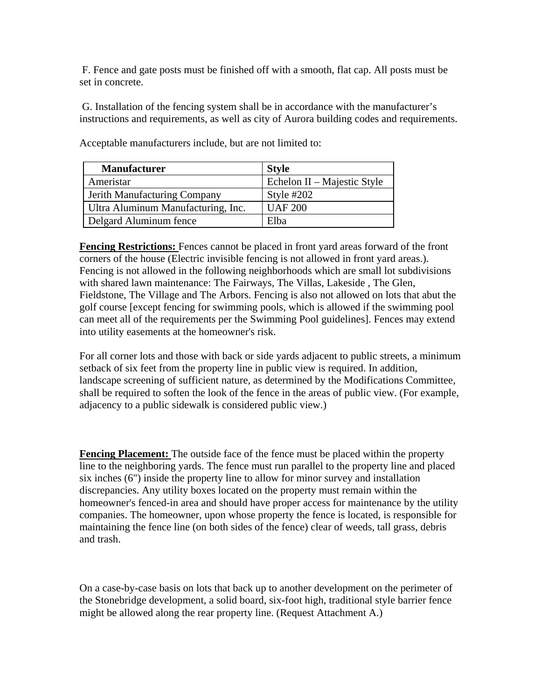F. Fence and gate posts must be finished off with a smooth, flat cap. All posts must be set in concrete.

 G. Installation of the fencing system shall be in accordance with the manufacturer's instructions and requirements, as well as city of Aurora building codes and requirements.

| <b>Manufacturer</b>                | <b>Style</b>                |
|------------------------------------|-----------------------------|
| Ameristar                          | Echelon II – Majestic Style |
| Jerith Manufacturing Company       | Style $#202$                |
| Ultra Aluminum Manufacturing, Inc. | <b>UAF 200</b>              |
| Delgard Aluminum fence             | Elba                        |

Acceptable manufacturers include, but are not limited to:

**Fencing Restrictions:** Fences cannot be placed in front yard areas forward of the front corners of the house (Electric invisible fencing is not allowed in front yard areas.). Fencing is not allowed in the following neighborhoods which are small lot subdivisions with shared lawn maintenance: The Fairways, The Villas, Lakeside , The Glen, Fieldstone, The Village and The Arbors. Fencing is also not allowed on lots that abut the golf course [except fencing for swimming pools, which is allowed if the swimming pool can meet all of the requirements per the Swimming Pool guidelines]. Fences may extend into utility easements at the homeowner's risk.

For all corner lots and those with back or side yards adjacent to public streets, a minimum setback of six feet from the property line in public view is required. In addition, landscape screening of sufficient nature, as determined by the Modifications Committee, shall be required to soften the look of the fence in the areas of public view. (For example, adjacency to a public sidewalk is considered public view.)

**Fencing Placement:** The outside face of the fence must be placed within the property line to the neighboring yards. The fence must run parallel to the property line and placed six inches (6") inside the property line to allow for minor survey and installation discrepancies. Any utility boxes located on the property must remain within the homeowner's fenced-in area and should have proper access for maintenance by the utility companies. The homeowner, upon whose property the fence is located, is responsible for maintaining the fence line (on both sides of the fence) clear of weeds, tall grass, debris and trash.

On a case-by-case basis on lots that back up to another development on the perimeter of the Stonebridge development, a solid board, six-foot high, traditional style barrier fence might be allowed along the rear property line. (Request Attachment A.)